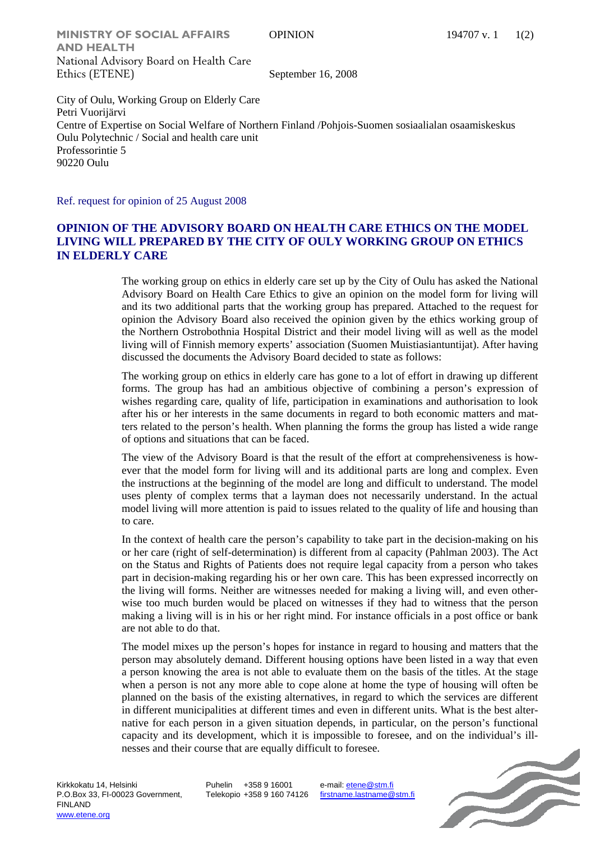**MINISTRY OF SOCIAL AFFAIRS** OPINION 194707 v. 1 1(2) **AND HEALTH**  National Advisory Board on Health Care Ethics (ETENE) September 16, 2008

City of Oulu, Working Group on Elderly Care Petri Vuorijärvi Centre of Expertise on Social Welfare of Northern Finland /Pohjois-Suomen sosiaalialan osaamiskeskus Oulu Polytechnic / Social and health care unit Professorintie 5 90220 Oulu

Ref. request for opinion of 25 August 2008

## **OPINION OF THE ADVISORY BOARD ON HEALTH CARE ETHICS ON THE MODEL LIVING WILL PREPARED BY THE CITY OF OULY WORKING GROUP ON ETHICS IN ELDERLY CARE**

The working group on ethics in elderly care set up by the City of Oulu has asked the National Advisory Board on Health Care Ethics to give an opinion on the model form for living will and its two additional parts that the working group has prepared. Attached to the request for opinion the Advisory Board also received the opinion given by the ethics working group of the Northern Ostrobothnia Hospital District and their model living will as well as the model living will of Finnish memory experts' association (Suomen Muistiasiantuntijat). After having discussed the documents the Advisory Board decided to state as follows:

The working group on ethics in elderly care has gone to a lot of effort in drawing up different forms. The group has had an ambitious objective of combining a person's expression of wishes regarding care, quality of life, participation in examinations and authorisation to look after his or her interests in the same documents in regard to both economic matters and matters related to the person's health. When planning the forms the group has listed a wide range of options and situations that can be faced.

The view of the Advisory Board is that the result of the effort at comprehensiveness is however that the model form for living will and its additional parts are long and complex. Even the instructions at the beginning of the model are long and difficult to understand. The model uses plenty of complex terms that a layman does not necessarily understand. In the actual model living will more attention is paid to issues related to the quality of life and housing than to care.

In the context of health care the person's capability to take part in the decision-making on his or her care (right of self-determination) is different from al capacity (Pahlman 2003). The Act on the Status and Rights of Patients does not require legal capacity from a person who takes part in decision-making regarding his or her own care. This has been expressed incorrectly on the living will forms. Neither are witnesses needed for making a living will, and even otherwise too much burden would be placed on witnesses if they had to witness that the person making a living will is in his or her right mind. For instance officials in a post office or bank are not able to do that.

The model mixes up the person's hopes for instance in regard to housing and matters that the person may absolutely demand. Different housing options have been listed in a way that even a person knowing the area is not able to evaluate them on the basis of the titles. At the stage when a person is not any more able to cope alone at home the type of housing will often be planned on the basis of the existing alternatives, in regard to which the services are different in different municipalities at different times and even in different units. What is the best alternative for each person in a given situation depends, in particular, on the person's functional capacity and its development, which it is impossible to foresee, and on the individual's illnesses and their course that are equally difficult to foresee.

Kirkkokatu 14, Helsinki P.O.Box 33, FI-00023 Government, FINLAND www.etene.org

Puhelin +358 9 16001 Telekopio +358 9 160 74126 e-mail: etene@stm.fi firstname.lastname@stm.fi